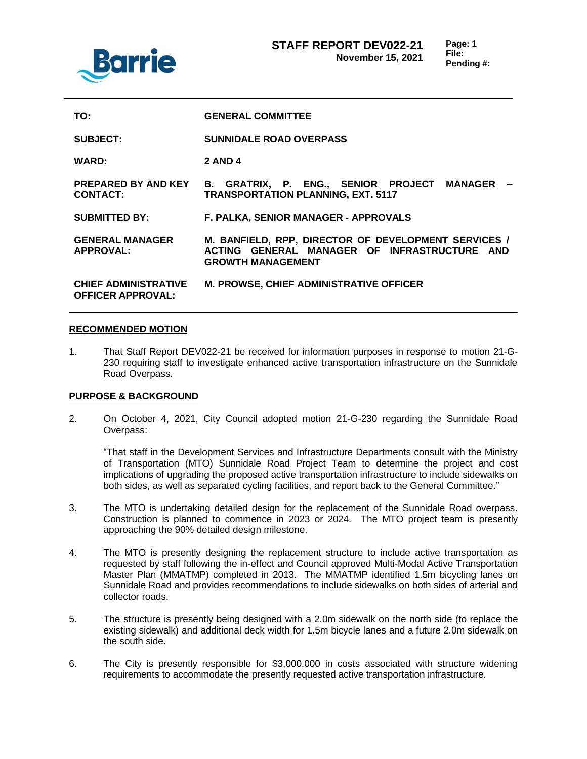

| TO:                                                     | <b>GENERAL COMMITTEE</b>                                                                                                         |
|---------------------------------------------------------|----------------------------------------------------------------------------------------------------------------------------------|
| <b>SUBJECT:</b>                                         | <b>SUNNIDALE ROAD OVERPASS</b>                                                                                                   |
| <b>WARD:</b>                                            | <b>2 AND 4</b>                                                                                                                   |
| <b>PREPARED BY AND KEY</b><br><b>CONTACT:</b>           | B. GRATRIX, P. ENG., SENIOR PROJECT MANAGER<br><b>TRANSPORTATION PLANNING, EXT. 5117</b>                                         |
| <b>SUBMITTED BY:</b>                                    | F. PALKA, SENIOR MANAGER - APPROVALS                                                                                             |
| <b>GENERAL MANAGER</b><br><b>APPROVAL:</b>              | M. BANFIELD, RPP, DIRECTOR OF DEVELOPMENT SERVICES /<br>ACTING GENERAL MANAGER OF INFRASTRUCTURE AND<br><b>GROWTH MANAGEMENT</b> |
| <b>CHIEF ADMINISTRATIVE</b><br><b>OFFICER APPROVAL:</b> | <b>M. PROWSE, CHIEF ADMINISTRATIVE OFFICER</b>                                                                                   |

#### **RECOMMENDED MOTION**

1. That Staff Report DEV022-21 be received for information purposes in response to motion 21-G-230 requiring staff to investigate enhanced active transportation infrastructure on the Sunnidale Road Overpass.

### **PURPOSE & BACKGROUND**

2. On October 4, 2021, City Council adopted motion 21-G-230 regarding the Sunnidale Road Overpass:

"That staff in the Development Services and Infrastructure Departments consult with the Ministry of Transportation (MTO) Sunnidale Road Project Team to determine the project and cost implications of upgrading the proposed active transportation infrastructure to include sidewalks on both sides, as well as separated cycling facilities, and report back to the General Committee."

- 3. The MTO is undertaking detailed design for the replacement of the Sunnidale Road overpass. Construction is planned to commence in 2023 or 2024. The MTO project team is presently approaching the 90% detailed design milestone.
- 4. The MTO is presently designing the replacement structure to include active transportation as requested by staff following the in-effect and Council approved Multi-Modal Active Transportation Master Plan (MMATMP) completed in 2013. The MMATMP identified 1.5m bicycling lanes on Sunnidale Road and provides recommendations to include sidewalks on both sides of arterial and collector roads.
- 5. The structure is presently being designed with a 2.0m sidewalk on the north side (to replace the existing sidewalk) and additional deck width for 1.5m bicycle lanes and a future 2.0m sidewalk on the south side.
- 6. The City is presently responsible for \$3,000,000 in costs associated with structure widening requirements to accommodate the presently requested active transportation infrastructure.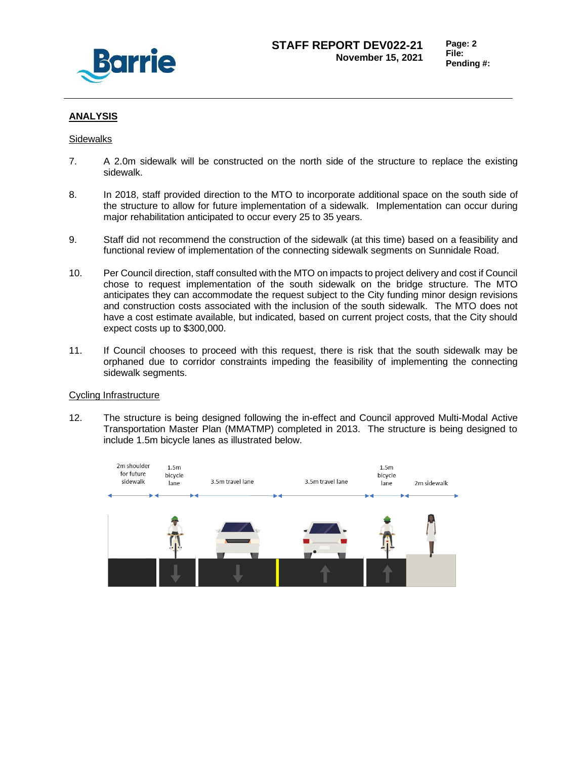

### **ANALYSIS**

#### **Sidewalks**

- 7. A 2.0m sidewalk will be constructed on the north side of the structure to replace the existing sidewalk.
- 8. In 2018, staff provided direction to the MTO to incorporate additional space on the south side of the structure to allow for future implementation of a sidewalk. Implementation can occur during major rehabilitation anticipated to occur every 25 to 35 years.
- 9. Staff did not recommend the construction of the sidewalk (at this time) based on a feasibility and functional review of implementation of the connecting sidewalk segments on Sunnidale Road.
- 10. Per Council direction, staff consulted with the MTO on impacts to project delivery and cost if Council chose to request implementation of the south sidewalk on the bridge structure. The MTO anticipates they can accommodate the request subject to the City funding minor design revisions and construction costs associated with the inclusion of the south sidewalk. The MTO does not have a cost estimate available, but indicated, based on current project costs, that the City should expect costs up to \$300,000.
- 11. If Council chooses to proceed with this request, there is risk that the south sidewalk may be orphaned due to corridor constraints impeding the feasibility of implementing the connecting sidewalk segments.

### Cycling Infrastructure

12. The structure is being designed following the in-effect and Council approved Multi-Modal Active Transportation Master Plan (MMATMP) completed in 2013. The structure is being designed to include 1.5m bicycle lanes as illustrated below.

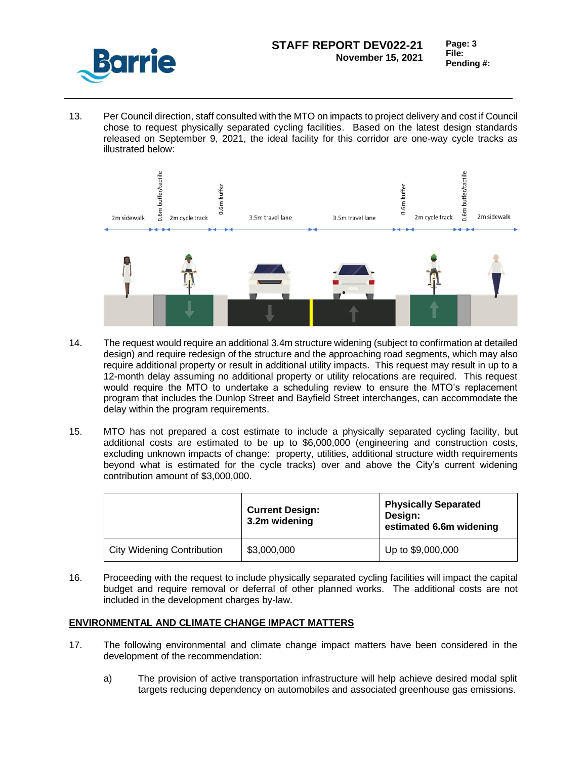

13. Per Council direction, staff consulted with the MTO on impacts to project delivery and cost if Council chose to request physically separated cycling facilities. Based on the latest design standards released on September 9, 2021, the ideal facility for this corridor are one-way cycle tracks as illustrated below:



- 14. The request would require an additional 3.4m structure widening (subject to confirmation at detailed design) and require redesign of the structure and the approaching road segments, which may also require additional property or result in additional utility impacts. This request may result in up to a 12-month delay assuming no additional property or utility relocations are required. This request would require the MTO to undertake a scheduling review to ensure the MTO's replacement program that includes the Dunlop Street and Bayfield Street interchanges, can accommodate the delay within the program requirements.
- 15. MTO has not prepared a cost estimate to include a physically separated cycling facility, but additional costs are estimated to be up to \$6,000,000 (engineering and construction costs, excluding unknown impacts of change: property, utilities, additional structure width requirements beyond what is estimated for the cycle tracks) over and above the City's current widening contribution amount of \$3,000,000.

|                                   | <b>Current Design:</b><br>3.2m widening | <b>Physically Separated</b><br>Design:<br>estimated 6.6m widening |
|-----------------------------------|-----------------------------------------|-------------------------------------------------------------------|
| <b>City Widening Contribution</b> | \$3,000,000                             | Up to \$9,000,000                                                 |

16. Proceeding with the request to include physically separated cycling facilities will impact the capital budget and require removal or deferral of other planned works. The additional costs are not included in the development charges by-law.

## **ENVIRONMENTAL AND CLIMATE CHANGE IMPACT MATTERS**

- 17. The following environmental and climate change impact matters have been considered in the development of the recommendation:
	- a) The provision of active transportation infrastructure will help achieve desired modal split targets reducing dependency on automobiles and associated greenhouse gas emissions.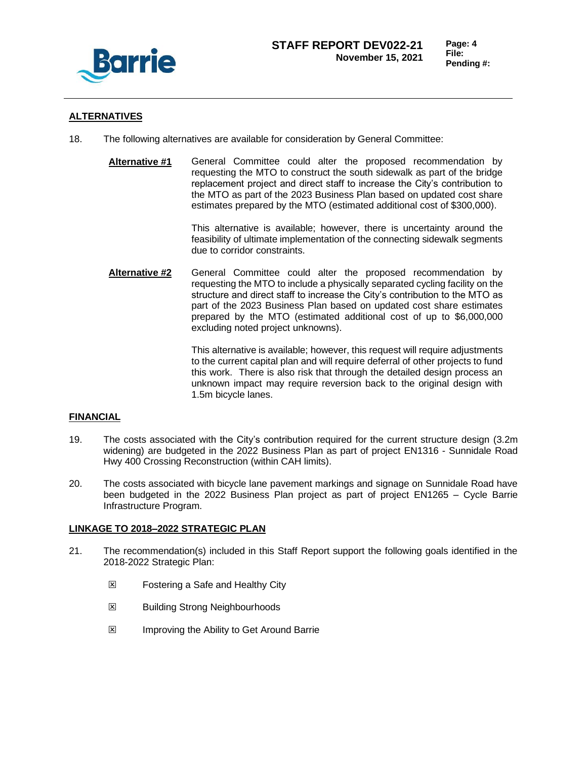

# **ALTERNATIVES**

- 18. The following alternatives are available for consideration by General Committee:
	- **Alternative #1** General Committee could alter the proposed recommendation by requesting the MTO to construct the south sidewalk as part of the bridge replacement project and direct staff to increase the City's contribution to the MTO as part of the 2023 Business Plan based on updated cost share estimates prepared by the MTO (estimated additional cost of \$300,000).

This alternative is available; however, there is uncertainty around the feasibility of ultimate implementation of the connecting sidewalk segments due to corridor constraints.

**Alternative #2** General Committee could alter the proposed recommendation by requesting the MTO to include a physically separated cycling facility on the structure and direct staff to increase the City's contribution to the MTO as part of the 2023 Business Plan based on updated cost share estimates prepared by the MTO (estimated additional cost of up to \$6,000,000 excluding noted project unknowns).

> This alternative is available; however, this request will require adjustments to the current capital plan and will require deferral of other projects to fund this work. There is also risk that through the detailed design process an unknown impact may require reversion back to the original design with 1.5m bicycle lanes.

## **FINANCIAL**

- 19. The costs associated with the City's contribution required for the current structure design (3.2m widening) are budgeted in the 2022 Business Plan as part of project EN1316 - Sunnidale Road Hwy 400 Crossing Reconstruction (within CAH limits).
- 20. The costs associated with bicycle lane pavement markings and signage on Sunnidale Road have been budgeted in the 2022 Business Plan project as part of project EN1265 – Cycle Barrie Infrastructure Program.

## **LINKAGE TO 2018–2022 STRATEGIC PLAN**

- 21. The recommendation(s) included in this Staff Report support the following goals identified in the 2018-2022 Strategic Plan:
	- **Eq. 5.** Fostering a Safe and Healthy City
	- **E** Building Strong Neighbourhoods
	- $\boxtimes$  Improving the Ability to Get Around Barrie